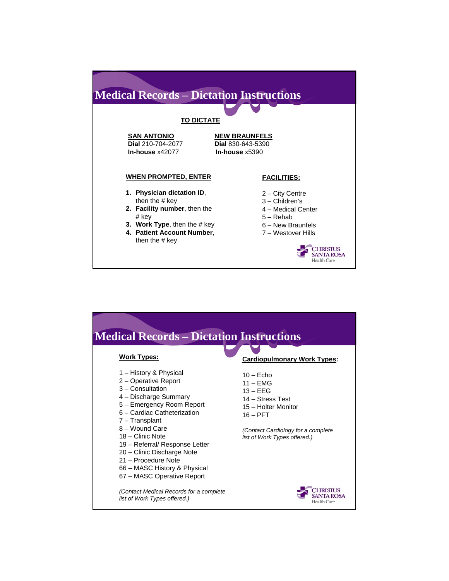### **Medical Records – Dictation Instructions TO DICTATE SAN ANTONIO NEW BRAUNFELS Dial** 210-704-2077 **Dial** 830-643-5390 **In-house** x42077 **WHEN PROMPTED, ENTER FACILITIES: 1. Physician dictation ID**, 2 – City Centre then the # key 3 – Children's **2. Facility number**, then the 4 – Medical Center # key 5 – Rehab **3. Work Type**, then the # key 6 – New Braunfels **4. Patient Account Number**, 7 – Westover Hills then the # key CHRISTUS<br>SANTA ROSA Health Care

| <b>Medical Records – Dictation Instructions</b>                                                                                                                                                                                                                                                                                                                        |                                                                                                                                                                         |
|------------------------------------------------------------------------------------------------------------------------------------------------------------------------------------------------------------------------------------------------------------------------------------------------------------------------------------------------------------------------|-------------------------------------------------------------------------------------------------------------------------------------------------------------------------|
| <b>Work Types:</b>                                                                                                                                                                                                                                                                                                                                                     | <b>Cardiopulmonary Work Types:</b>                                                                                                                                      |
| 1 – History & Physical<br>2 - Operative Report<br>$3 -$ Consultation<br>4 – Discharge Summary<br>5 - Emergency Room Report<br>6 - Cardiac Catheterization<br>7 - Transplant<br>8 - Wound Care<br>18 - Clinic Note<br>19 - Referral/ Response Letter<br>20 - Clinic Discharge Note<br>21 - Procedure Note<br>66 – MASC History & Physical<br>67 – MASC Operative Report | $10 -$ Echo<br>$11 - EMG$<br>$13 - EEG$<br>14 - Stress Test<br>15 - Holter Monitor<br>$16 - PFT$<br>(Contact Cardiology for a complete)<br>list of Work Types offered.) |
| (Contact Medical Records for a complete)<br>list of Work Types offered.)                                                                                                                                                                                                                                                                                               | Health Care                                                                                                                                                             |